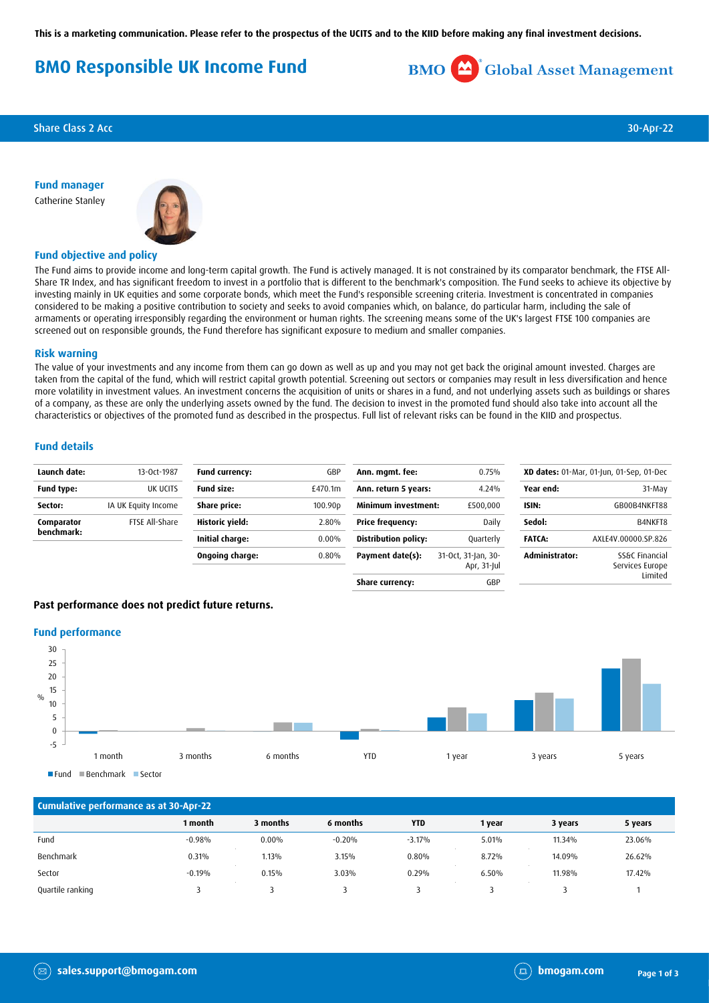**This is a marketing communication. Please refer to the prospectus of the UCITS and to the KIID before making any final investment decisions.**

# **BMO Responsible UK Income Fund**



**Share Class 2 Acc** 30-Apr-22

**Fund manager** Catherine Stanley



## **Fund objective and policy**

The Fund aims to provide income and long-term capital growth. The Fund is actively managed. It is not constrained by its comparator benchmark, the FTSE All-Share TR Index, and has significant freedom to invest in a portfolio that is different to the benchmark's composition. The Fund seeks to achieve its objective by investing mainly in UK equities and some corporate bonds, which meet the Fund's responsible screening criteria. Investment is concentrated in companies considered to be making a positive contribution to society and seeks to avoid companies which, on balance, do particular harm, including the sale of armaments or operating irresponsibly regarding the environment or human rights. The screening means some of the UK's largest FTSE 100 companies are screened out on responsible grounds, the Fund therefore has significant exposure to medium and smaller companies.

#### **Risk warning**

The value of your investments and any income from them can go down as well as up and you may not get back the original amount invested. Charges are taken from the capital of the fund, which will restrict capital growth potential. Screening out sectors or companies may result in less diversification and hence more volatility in investment values. An investment concerns the acquisition of units or shares in a fund, and not underlying assets such as buildings or shares of a company, as these are only the underlying assets owned by the fund. The decision to invest in the promoted fund should also take into account all the characteristics or objectives of the promoted fund as described in the prospectus. Full list of relevant risks can be found in the KIID and prospectus.

### **Fund details**

| Launch date:             | 13-Oct-1987         | Fund currency:    | GBP                 | Ann. mgmt. fee:             | 0.75%                              |                       | XD dates: 01-Mar, 01-Jun, 01-Sep, 01-Dec |
|--------------------------|---------------------|-------------------|---------------------|-----------------------------|------------------------------------|-----------------------|------------------------------------------|
| <b>Fund type:</b>        | UK UCITS            | <b>Fund size:</b> | £470.1m             | Ann. return 5 years:        | 4.24%                              | Year end:             | 31-May                                   |
| Sector:                  | IA UK Equity Income | Share price:      | 100.90 <sub>p</sub> | <b>Minimum investment:</b>  | £500,000                           | ISIN:                 | GB00B4NKFT88                             |
| Comparator<br>benchmark: | FTSE All-Share      | Historic yield:   | 2.80%               | <b>Price frequency:</b>     | Daily                              | Sedol:                | B4NKFT8                                  |
|                          |                     | Initial charge:   | 0.00%               | <b>Distribution policy:</b> | Quarterly                          | <b>FATCA:</b>         | AXLE4V.00000.SP.826                      |
|                          |                     | Ongoing charge:   | 0.80%               | Payment date(s):            | 31-Oct, 31-Jan, 30-<br>Apr, 31-Jul | <b>Administrator:</b> | SS&C Financial<br>Services Europe        |
|                          |                     |                   |                     | Share currency:             | GBP                                |                       | Limited                                  |

## **Past performance does not predict future returns.**

#### **Fund performance**



 $F$ Fund  $B$ Benchmark Sector

| Cumulative performance as at 30-Apr-22 |          |          |          |            |        |         |         |
|----------------------------------------|----------|----------|----------|------------|--------|---------|---------|
|                                        | 1 month  | 3 months | 6 months | <b>YTD</b> | 1 year | 3 years | 5 years |
| Fund                                   | $-0.98%$ | $0.00\%$ | $-0.20%$ | $-3.17%$   | 5.01%  | 11.34%  | 23.06%  |
| Benchmark                              | 0.31%    | 1.13%    | 3.15%    | 0.80%      | 8.72%  | 14.09%  | 26.62%  |
| Sector                                 | $-0.19%$ | 0.15%    | 3.03%    | 0.29%      | 6.50%  | 11.98%  | 17.42%  |
| Quartile ranking                       |          |          |          |            |        |         |         |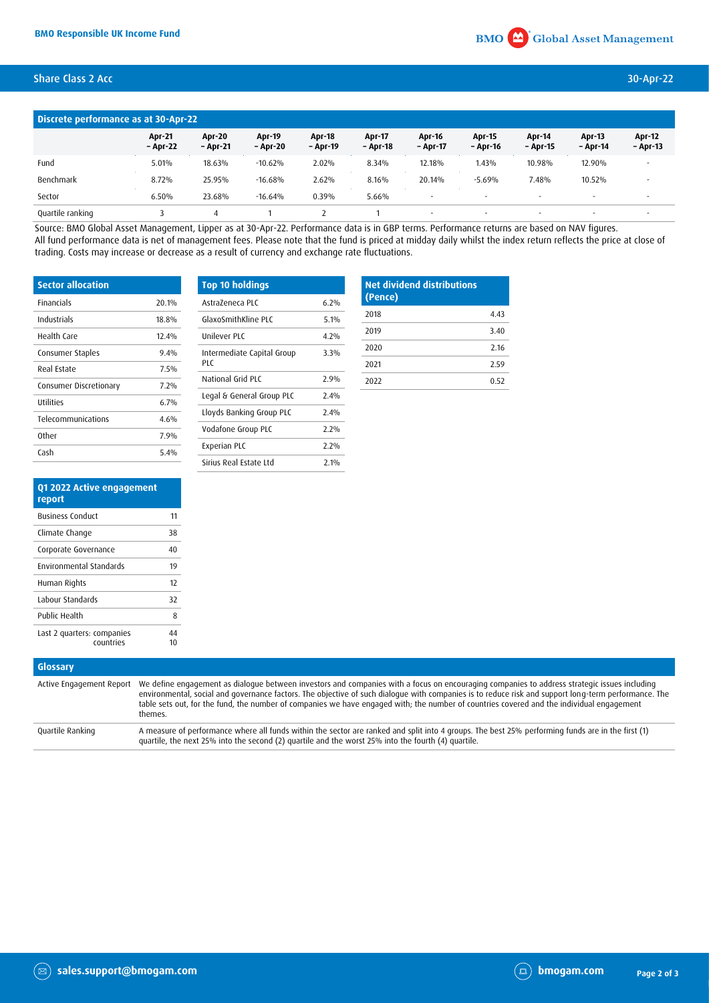## Share Class 2 Acc 30-Apr-22

| Discrete performance as at 30-Apr-22 |                           |                    |                           |                           |                    |                           |                          |                          |                           |                           |
|--------------------------------------|---------------------------|--------------------|---------------------------|---------------------------|--------------------|---------------------------|--------------------------|--------------------------|---------------------------|---------------------------|
|                                      | <b>Apr-21</b><br>- Apr-22 | Apr-20<br>– Apr-21 | <b>Apr-19</b><br>- Apr-20 | <b>Apr-18</b><br>- Apr-19 | Apr-17<br>- Apr-18 | <b>Apr-16</b><br>- Apr-17 | Apr-15<br>- Apr-16       | Apr-14<br>- Apr-15       | <b>Apr-13</b><br>- Apr-14 | <b>Apr-12</b><br>- Apr-13 |
| Fund                                 | 5.01%                     | 18.63%             | $-10.62%$                 | 2.02%                     | 8.34%              | 12.18%                    | 1.43%                    | 10.98%                   | 12.90%                    | $\overline{\phantom{a}}$  |
| Benchmark                            | 8.72%                     | 25.95%             | $-16.68%$                 | 2.62%                     | 8.16%              | 20.14%                    | $-5.69%$                 | 7.48%                    | 10.52%                    | $\overline{\phantom{a}}$  |
| Sector                               | 6.50%                     | 23.68%             | $-16.64%$                 | 0.39%                     | 5.66%              |                           |                          | $\overline{\phantom{a}}$ |                           | $\overline{\phantom{a}}$  |
| Quartile ranking                     |                           |                    |                           |                           |                    |                           | $\overline{\phantom{a}}$ |                          |                           |                           |

Source: BMO Global Asset Management, Lipper as at 30-Apr-22. Performance data is in GBP terms. Performance returns are based on NAV figures. All fund performance data is net of management fees. Please note that the fund is priced at midday daily whilst the index return reflects the price at close of trading. Costs may increase or decrease as a result of currency and exchange rate fluctuations.

| <b>Sector allocation</b> |       | Top   |
|--------------------------|-------|-------|
| <b>Financials</b>        | 20.1% | Astr. |
| Industrials              | 18.8% | Glax  |
| Health Care              | 12.4% | Unik  |
| Consumer Staples         | 9.4%  | Inter |
| Real Estate              | 7.5%  | PLC   |
| Consumer Discretionary   | 7.2%  | Nati  |
| <b>Utilities</b>         | 6.7%  | Lega  |
| Telecommunications       | 4.6%  | Lloy  |
| Other                    | 7.9%  | Vod   |
|                          |       | Expe  |
| Cash                     | 5.4%  |       |

| <b>Top 10 holdings</b>            |        |
|-----------------------------------|--------|
| AstraZeneca PLC                   | 6.2%   |
| GlaxoSmithKline PLC               | $51\%$ |
| Unilever PLC                      | 4 7%   |
| Intermediate Capital Group<br>PIC | 3.3%   |
| National Grid PLC                 | 2.9%   |
| Legal & General Group PLC         | 7.4%   |
| Lloyds Banking Group PLC          | 2.4%   |
| Vodafone Group PLC                | 7.7%   |
| Experian PLC                      | 2.2%   |
| Sirius Real Estate Ltd            | 71%    |

| <b>Net dividend distributions</b><br>(Pence) |      |
|----------------------------------------------|------|
| 2018                                         | 4.43 |
| 2019                                         | 3.40 |
| 2020                                         | 2.16 |
| 2021                                         | 2.59 |
| 2022                                         | 0.52 |

| Q1 2022 Active engagement<br>report     |    |
|-----------------------------------------|----|
| <b>Business Conduct</b>                 | 11 |
| Climate Change                          | 38 |
| Corporate Governance                    | 40 |
| <b>Environmental Standards</b>          | 19 |
| Human Rights                            | 12 |
| Labour Standards                        | 32 |
| Public Health                           | 8  |
| Last 2 quarters: companies<br>countries | 44 |

| Glossary                 |                                                                                                                                                                                                                                                                                                                                                                                                                                                              |
|--------------------------|--------------------------------------------------------------------------------------------------------------------------------------------------------------------------------------------------------------------------------------------------------------------------------------------------------------------------------------------------------------------------------------------------------------------------------------------------------------|
| Active Engagement Report | We define engagement as dialogue between investors and companies with a focus on encouraging companies to address strategic issues including<br>environmental, social and governance factors. The objective of such dialogue with companies is to reduce risk and support long-term performance. The<br>table sets out, for the fund, the number of companies we have engaged with; the number of countries covered and the individual engagement<br>themes. |
| Quartile Ranking         | A measure of performance where all funds within the sector are ranked and split into 4 groups. The best 25% performing funds are in the first (1)<br>quartile, the next 25% into the second (2) quartile and the worst 25% into the fourth (4) quartile.                                                                                                                                                                                                     |